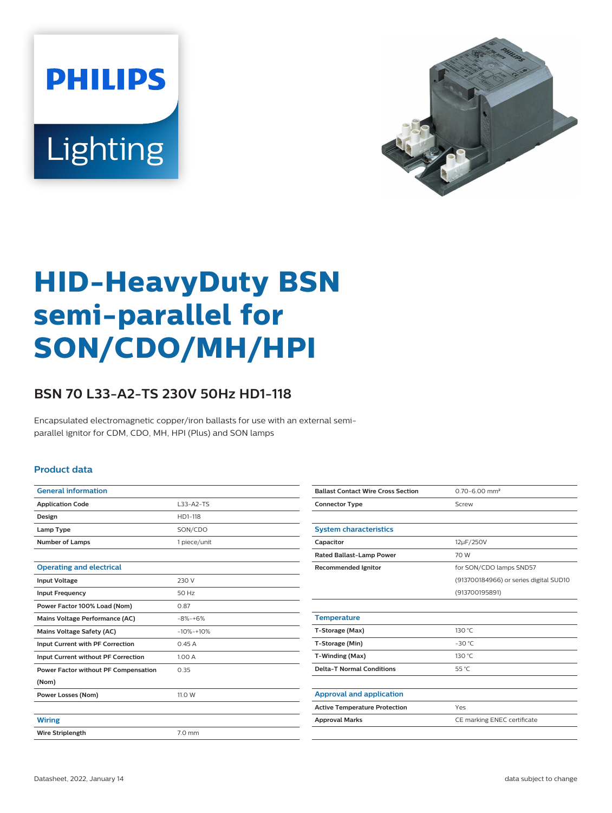



# **HID-HeavyDuty BSN semi-parallel for SON/CDO/MH/HPI**

## **BSN 70 L33-A2-TS 230V 50Hz HD1-118**

Encapsulated electromagnetic copper/iron ballasts for use with an external semiparallel ignitor for CDM, CDO, MH, HPI (Plus) and SON lamps

#### **Product data**

| <b>General information</b>           |                  |
|--------------------------------------|------------------|
| <b>Application Code</b>              | $L33-A2-TS$      |
| Design                               | HD1-118          |
| Lamp Type                            | SON/CDO          |
| <b>Number of Lamps</b>               | 1 piece/unit     |
|                                      |                  |
| <b>Operating and electrical</b>      |                  |
| <b>Input Voltage</b>                 | 230 V            |
| <b>Input Frequency</b>               | 50 Hz            |
| Power Factor 100% Load (Nom)         | 0.87             |
| Mains Voltage Performance (AC)       | $-8% - +6%$      |
| <b>Mains Voltage Safety (AC)</b>     | $-10% -10%$      |
| Input Current with PF Correction     | 0.45A            |
| Input Current without PF Correction  | 1.00 A           |
| Power Factor without PF Compensation | 0.35             |
| (Nom)                                |                  |
| <b>Power Losses (Nom)</b>            | 11.0 W           |
|                                      |                  |
| <b>Wiring</b>                        |                  |
| <b>Wire Striplength</b>              | $7.0 \text{ mm}$ |
|                                      |                  |

| <b>Ballast Contact Wire Cross Section</b> | $0.70 - 6.00$ mm <sup>2</sup>          |
|-------------------------------------------|----------------------------------------|
| <b>Connector Type</b>                     | Screw                                  |
|                                           |                                        |
| <b>System characteristics</b>             |                                        |
| Capacitor                                 | 12µF/250V                              |
| <b>Rated Ballast-Lamp Power</b>           | 70 W                                   |
| <b>Recommended Ignitor</b>                | for SON/CDO lamps SND57                |
|                                           | (913700184966) or series digital SUD10 |
|                                           | (913700195891)                         |
|                                           |                                        |
| <b>Temperature</b>                        |                                        |
| T-Storage (Max)                           | 130 °C                                 |
| T-Storage (Min)                           | $-30$ °C                               |
| T-Winding (Max)                           | 130 °C                                 |
| <b>Delta-T Normal Conditions</b>          | 55 °C                                  |
|                                           |                                        |
| <b>Approval and application</b>           |                                        |
| <b>Active Temperature Protection</b>      | Yes                                    |
| <b>Approval Marks</b>                     | CE marking ENEC certificate            |
|                                           |                                        |